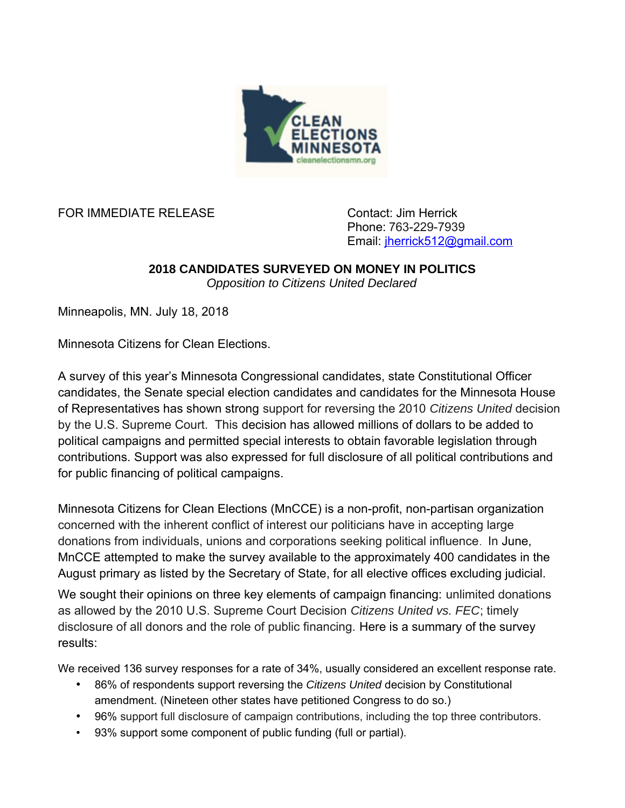

FOR IMMEDIATE RELEASE CONTACT Contact: Jim Herrick

Phone: 763-229-7939 Email: [jherrick512@gmail.com](mailto:jherrick512@gmail.com)

## **2018 CANDIDATES SURVEYED ON MONEY IN POLITICS**

*Opposition to Citizens United Declared*

Minneapolis, MN. July 18, 2018

Minnesota Citizens for Clean Elections.

A survey of this year's Minnesota Congressional candidates, state Constitutional Officer candidates, the Senate special election candidates and candidates for the Minnesota House of Representatives has shown strong support for reversing the 2010 *Citizens United* decision by the U.S. Supreme Court. This decision has allowed millions of dollars to be added to political campaigns and permitted special interests to obtain favorable legislation through contributions. Support was also expressed for full disclosure of all political contributions and for public financing of political campaigns.

Minnesota Citizens for Clean Elections (MnCCE) is a non-profit, non-partisan organization concerned with the inherent conflict of interest our politicians have in accepting large donations from individuals, unions and corporations seeking political influence. In June, MnCCE attempted to make the survey available to the approximately 400 candidates in the August primary as listed by the Secretary of State, for all elective offices excluding judicial.

We sought their opinions on three key elements of campaign financing: unlimited donations as allowed by the 2010 U.S. Supreme Court Decision *Citizens United vs. FEC*; timely disclosure of all donors and the role of public financing. Here is a summary of the survey results:

We received 136 survey responses for a rate of 34%, usually considered an excellent response rate.

- 86% of respondents support reversing the *Citizens United* decision by Constitutional amendment. (Nineteen other states have petitioned Congress to do so.)
- 96% support full disclosure of campaign contributions, including the top three contributors.
- 93% support some component of public funding (full or partial).